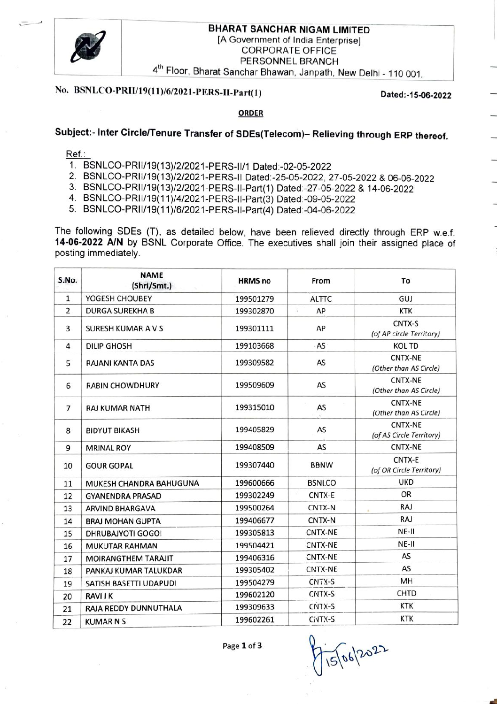

## BHARAT SANCHAR NIGAM LIMITED [A Government of India Enterprise] CORPORATE OFFICE PERSONNEL BRANCH 4<sup>th</sup> Floor, Bharat Sanchar Bhawan, Janpath, New Delhi - 110 001.

# No. BSNLCO-PRI/19(11/6/2021-PERS-II-Part(1) Dated:-15-06-2022

### ORDER

# Subject:- Inter Circle/Tenure Transfer of SDEs(Telecom)- Relieving through ERP thereof.

Ref.:

- 1. BSNLCO-PRIl/19(13)/2/2021-PERS-I1/1 Dated:-02-05-2022
- 2. BSNLCO-PRI/19(13)/2/2021-PERS-II Dated-25-05-2022, 27-05-2022 & 06-06-2022
- 3. BSNLCO-PRI/19(13)/2/2021-PERS-I-Part(1) Dated:-27-05-2022 & 14-06-2022
- 4. BSNLcO-PRI/19(11)/4/2021-PERS-I1-Part(3) Dated:-09-05-2022
- 5. BSNLCO-PRIl/19(11)/6/2021-PERS-I1-Part(4) Dated:-04-06-2022

The following SDEs (T), as detailed below, have been relieved directly through ERP w.e.f. 14-06-2022 AN by BSNL Corporate Office. The executives shall join their assigned place of posting immediately.

| S.No.          | <b>NAME</b><br>(Shri/Smt.) | <b>HRMS no</b> | From           | To                                         |
|----------------|----------------------------|----------------|----------------|--------------------------------------------|
| $\mathbf{1}$   | YOGESH CHOUBEY             | 199501279      | <b>ALTTC</b>   | GUJ                                        |
| 2              | <b>DURGA SUREKHA B</b>     | 199302870      | S,<br>AP       | <b>KTK</b>                                 |
| 3              | SURESH KUMAR A V S         | 199301111      | <b>AP</b>      | CNTX-S<br>(of AP circle Territory)         |
| 4              | <b>DILIP GHOSH</b>         | 199103668      | AS             | <b>KOL TD</b>                              |
| 5              | <b>RAJANI KANTA DAS</b>    | 199309582      | AS             | <b>CNTX-NE</b><br>(Other than AS Circle)   |
| 6              | <b>RABIN CHOWDHURY</b>     | 199509609      | AS             | <b>CNTX-NE</b><br>(Other than AS Circle)   |
| $\overline{7}$ | <b>RAJ KUMAR NATH</b>      | 199315010      | AS             | <b>CNTX-NE</b><br>(Other than AS Circle)   |
| 8              | <b>BIDYUT BIKASH</b>       | 199405829      | AS             | <b>CNTX-NE</b><br>(of AS Circle Territory) |
| 9              | <b>MRINAL ROY</b>          | 199408509      | AS             | <b>CNTX-NE</b>                             |
| 10             | <b>GOUR GOPAL</b>          | 199307440      | <b>BBNW</b>    | CNTX-E<br>(of OR Circle Territory)         |
| 11             | MUKESH CHANDRA BAHUGUNA    | 199600666      | <b>BSNLCO</b>  | <b>UKD</b>                                 |
| 12             | <b>GYANENDRA PRASAD</b>    | 199302249      | CNTX-E         | OR                                         |
| 13             | <b>ARVIND BHARGAVA</b>     | 199500264      | CNTX-N         | <b>RAJ</b>                                 |
| 14             | <b>BRAJ MOHAN GUPTA</b>    | 199406677      | CNTX-N         | RAJ                                        |
| 15             | <b>DHRUBAJYOTI GOGOI</b>   | 199305813      | CNTX-NE        | NE-II                                      |
| 16             | <b>MUKUTAR RAHMAN</b>      | 199504421      | CNTX-NE        | NE-II                                      |
| 17             | MOIRANGTHEM TARAJIT        | 199406316      | <b>CNTX-NE</b> | AS                                         |
| 18             | PANKAJ KUMAR TALUKDAR      | 199305402      | CNTX-NE        | AS                                         |
| 19             | SATISH BASETTI UDAPUDI     | 199504279      | CNTX-S         | MH                                         |
| 20             | <b>RAVIIK</b>              | 199602120      | CNTX-S         | <b>CHTD</b>                                |
| 21             | RAJA REDDY DUNNUTHALA      | 199309633      | CNTX-S         | <b>KTK</b>                                 |
| 22             | <b>KUMARNS</b>             | 199602261      | CNTX-S         | <b>KTK</b>                                 |

15| 06/2022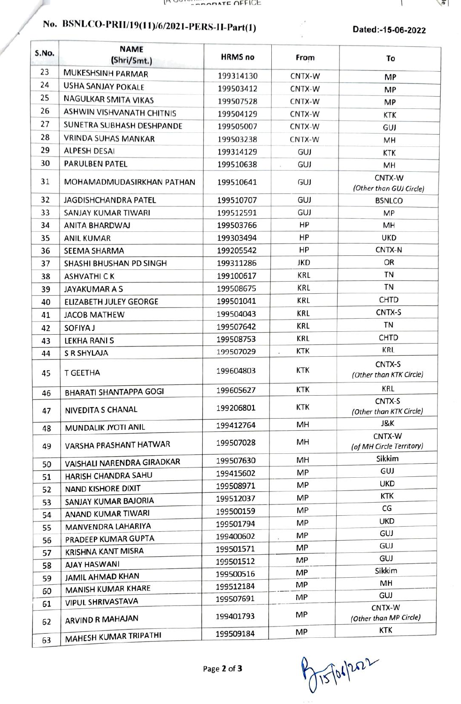# No. BSNLCO-PRI/19(11)/6/2021-PERS-I1-Part(1) Dated:-15-06-2022

Ë

 $\sqrt{a}$ 

| S.No. | <b>NAME</b><br>(Shri/Smt.)    | <b>HRMS no</b> | From                            | To                                 |
|-------|-------------------------------|----------------|---------------------------------|------------------------------------|
| 23    | MUKESHSINH PARMAR             | 199314130      | CNTX-W                          | MP                                 |
| 24    | <b>USHA SANJAY POKALE</b>     | 199503412      | CNTX-W                          | MP                                 |
| 25    | NAGULKAR SMITA VIKAS          | 199507528      | CNTX-W                          | MP                                 |
| 26    | ASHWIN VISHVANATH CHITNIS     | 199504129      | CNTX-W                          | KTK                                |
| 27    | SUNETRA SUBHASH DESHPANDE     | 199505007      | CNTX-W                          | GUJ                                |
| 28    | <b>VRINDA SUHAS MANKAR</b>    | 199503238      | CNTX-W                          | MH                                 |
| 29    | <b>ALPESH DESAI</b>           | 199314129      | GUJ                             | <b>KTK</b>                         |
| 30    | <b>PARULBEN PATEL</b>         | 199510638      | GUJ                             | MH                                 |
| 31    | MOHAMADMUDASIRKHAN PATHAN     | 199510641      | GUJ                             | CNTX-W<br>(Other than GUJ Circle)  |
| 32    | <b>JAGDISHCHANDRA PATEL</b>   | 199510707      | GUJ                             | <b>BSNLCO</b>                      |
| 33    | <b>SANJAY KUMAR TIWARI</b>    | 199512591      | GUJ                             | MP                                 |
| 34    | <b>ANITA BHARDWAJ</b>         | 199503766      | HP                              | MH                                 |
| 35    | <b>ANIL KUMAR</b>             | 199303494      | HP                              | <b>UKD</b>                         |
| 36    | <b>SEEMA SHARMA</b>           | 199205542      | HP                              | CNTX-N                             |
| 37    | SHASHI BHUSHAN PD SINGH       | 199311286      | <b>JKD</b>                      | OR                                 |
| 38    | <b>ASHVATHICK</b>             | 199100617      | KRL                             | <b>TN</b>                          |
| 39    | <b>JAYAKUMARAS</b>            | 199508675      | KRL                             | TN                                 |
| 40    | <b>ELIZABETH JULEY GEORGE</b> | 199501041      | <b>KRL</b>                      | CHTD                               |
| 41    | <b>JACOB MATHEW</b>           | 199504043      | <b>KRL</b>                      | CNTX-S                             |
| 42    | SOFIYA J                      | 199507642      | <b>KRL</b>                      | TN                                 |
| 43    | <b>LEKHA RANI S</b>           | 199508753      | <b>KRL</b>                      | <b>CHTD</b>                        |
| 44    | <b>S R SHYLAJA</b>            | 199507029      | KTK<br>$\overline{\phantom{a}}$ | <b>KRL</b>                         |
| 45    | <b>T GEETHA</b>               | 199604803      | <b>KTK</b>                      | CNTX-S<br>(Other than KTK Circle)  |
| 46    | <b>BHARATI SHANTAPPA GOGI</b> | 199605627      | <b>KTK</b>                      | KRL                                |
| 47    | <b>NIVEDITA S CHANAL</b>      | 199206801      | KTK                             | CNTX-S<br>(Other than KTK Circle)  |
| 48    | MUNDALIK JYOTI ANIL           | 199412764      | MH                              | J&K                                |
| 49    | VARSHA PRASHANT HATWAR        | 199507028      | MH                              | CNTX-W<br>(of MH Circle Territory) |
| 50    | VAISHALI NARENDRA GIRADKAR    | 199507630      | MН                              | Sikkim                             |
| 51    | HARISH CHANDRA SAHU           | 199415602      | MP                              | GUJ                                |
| 52    | <b>NAND KISHORE DIXIT</b>     | 199508971      | MP                              | <b>UKD</b>                         |
| 53    | SANJAY KUMAR BAJORIA          | 199512037      | <b>MP</b>                       | KTK                                |
| 54    | ANAND KUMAR TIWARI            | 199500159      | ΜP                              | CG                                 |
| 55    | MANVENDRA LAHARIYA            | 199501794      | MP                              | <b>UKD</b>                         |
| 56    | PRADEEP KUMAR GUPTA           | 199400602      | MP.<br>÷                        | GUJ                                |
| 57    | <b>KRISHNA KANT MISRA</b>     | 199501571      | MP                              | GUJ                                |
| 58    | <b>AJAY HASWANI</b>           | 199501512      | MP.                             | GUJ                                |
| 59    | <b>JAMIL AHMAD KHAN</b>       | 199500516      | MP                              | Sikkim<br>MH                       |
| 60    | MANISH KUMAR KHARE            | 199512184      | MP                              | GUJ                                |
| 61    | <b>VIPUL SHRIVASTAVA</b>      | 199507691      | MP                              | CNTX-W                             |
| 62    | <b>ARVIND R MAHAJAN</b>       | 199401793      | MP                              | (Other than MP Circle)<br>KTK      |
| 63    | MAHESH KUMAR TRIPATHI         | 199509184      | MP                              |                                    |